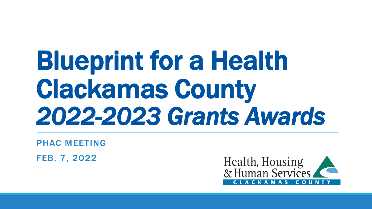# Blueprint for a Health Clackamas County *2022-2023 Grants Awards*

PHAC MEETING

FEB. 7, 2022

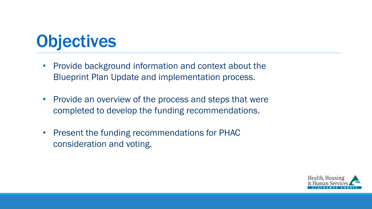#### **Objectives**

- Provide background information and context about the Blueprint Plan Update and implementation process.
- Provide an overview of the process and steps that were completed to develop the funding recommendations.
- Present the funding recommendations for PHAC consideration and voting.

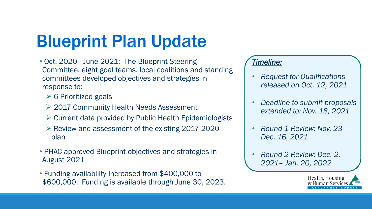## Blueprint Plan Update

- Oct. 2020 June 2021: The Blueprint Steering Committee, eight goal teams, local coalitions and standing committees developed objectives and strategies in response to:
	- $\geq 6$  Prioritized goals
	- **► 2017 Community Health Needs Assessment**
	- $\triangleright$  Current data provided by Public Health Epidemiologists
	- $\triangleright$  Review and assessment of the existing 2017-2020 plan
- PHAC approved Blueprint objectives and strategies in August 2021
- Funding availability increased from \$400,000 to \$600,000. Funding is available through June 30, 2023.

#### *Timeline:*

- *Request for Qualifications released on Oct. 12, 2021*
- *Deadline to submit proposals extended to: Nov. 18, 2021*
- *Round 1 Review: Nov. 23 – Dec. 16, 2021*
- *Round 2 Review: Dec. 2, 2021– Jan. 20, 2022*

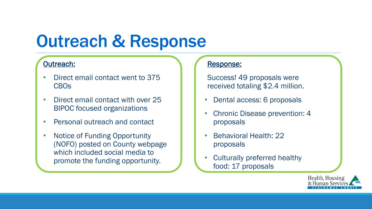#### Outreach & Response

#### Outreach:

- Direct email contact went to 375 CBOs
- Direct email contact with over 25 BIPOC focused organizations
- Personal outreach and contact
- Notice of Funding Opportunity (NOFO) posted on County webpage which included social media to promote the funding opportunity.

#### Response:

Success! 49 proposals were received totaling \$2.4 million.

- Dental access: 6 proposals
- Chronic Disease prevention: 4 proposals
- Behavioral Health: 22 proposals
- Culturally preferred healthy food: 17 proposals

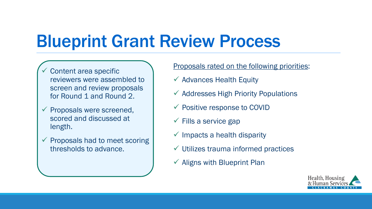#### Blueprint Grant Review Process

- $\checkmark$  Content area specific reviewers were assembled to screen and review proposals for Round 1 and Round 2.
- $\checkmark$  Proposals were screened, scored and discussed at length.
- $\checkmark$  Proposals had to meet scoring thresholds to advance.

Proposals rated on the following priorities:

- $\checkmark$  Advances Health Equity
- $\checkmark$  Addresses High Priority Populations
- $\checkmark$  Positive response to COVID
- $\checkmark$  Fills a service gap
- $\checkmark$  Impacts a health disparity
- $\checkmark$  Utilizes trauma informed practices
- $\checkmark$  Aligns with Blueprint Plan

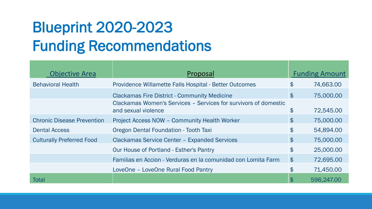#### Blueprint 2020-2023 Funding Recommendations

| <b>Objective Area</b>             | Proposal                                                                               |                    | <b>Funding Amount</b> |
|-----------------------------------|----------------------------------------------------------------------------------------|--------------------|-----------------------|
| <b>Behavioral Health</b>          | Providence Willamette Falls Hospital - Better Outcomes                                 | $\mathfrak{F}$     | 74,663.00             |
|                                   | <b>Clackamas Fire District - Community Medicine</b>                                    | $\mathfrak{F}$     | 75,000.00             |
|                                   | Clackamas Women's Services - Services for survivors of domestic<br>and sexual violence | $\mathfrak{F}$     | 72,545.00             |
| <b>Chronic Disease Prevention</b> | <b>Project Access NOW - Community Health Worker</b>                                    | $\mathfrak{P}$     | 75,000.00             |
| <b>Dental Access</b>              | Oregon Dental Foundation - Tooth Taxi                                                  | $\mathfrak{F}$     | 54,894.00             |
| <b>Culturally Preferred Food</b>  | <b>Clackamas Service Center - Expanded Services</b>                                    | $\mathfrak{P}$     | 75,000.00             |
|                                   | <b>Our House of Portland - Esther's Pantry</b>                                         | $\mathfrak{L}$     | 25,000.00             |
|                                   | Familias en Accion - Verduras en la comunidad con Lomita Farm                          | $\mathbf{\hat{f}}$ | 72,695.00             |
|                                   | LoveOne - LoveOne Rural Food Pantry                                                    | \$                 | 71,450.00             |
| Total                             |                                                                                        | \$                 | 596,247.00            |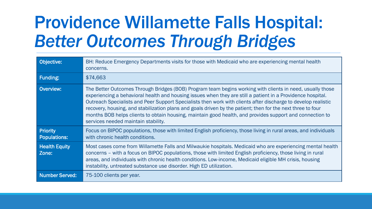## Providence Willamette Falls Hospital: *Better Outcomes Through Bridges*

| Objective:                             | BH: Reduce Emergency Departments visits for those with Medicaid who are experiencing mental health<br>concerns.                                                                                                                                                                                                                                                                                                                                                                                                                                                                                             |
|----------------------------------------|-------------------------------------------------------------------------------------------------------------------------------------------------------------------------------------------------------------------------------------------------------------------------------------------------------------------------------------------------------------------------------------------------------------------------------------------------------------------------------------------------------------------------------------------------------------------------------------------------------------|
| <b>Funding:</b>                        | \$74,663                                                                                                                                                                                                                                                                                                                                                                                                                                                                                                                                                                                                    |
| Overview:                              | The Better Outcomes Through Bridges (BOB) Program team begins working with clients in need, usually those<br>experiencing a behavioral health and housing issues when they are still a patient in a Providence hospital.<br>Outreach Specialists and Peer Support Specialists then work with clients after discharge to develop realistic<br>recovery, housing, and stabilization plans and goals driven by the patient; then for the next three to four<br>months BOB helps clients to obtain housing, maintain good health, and provides support and connection to<br>services needed maintain stability. |
| <b>Priority</b><br><b>Populations:</b> | Focus on BIPOC populations, those with limited English proficiency, those living in rural areas, and individuals<br>with chronic health conditions.                                                                                                                                                                                                                                                                                                                                                                                                                                                         |
| <b>Health Equity</b><br>Zone:          | Most cases come from Willamette Falls and Milwaukie hospitals. Medicaid who are experiencing mental health<br>concerns – with a focus on BIPOC populations, those with limited English proficiency, those living in rural<br>areas, and individuals with chronic health conditions. Low-income, Medicaid eligible MH crisis, housing<br>instability, untreated substance use disorder. High ED utilization.                                                                                                                                                                                                 |
| <b>Number Served:</b>                  | 75-100 clients per year.                                                                                                                                                                                                                                                                                                                                                                                                                                                                                                                                                                                    |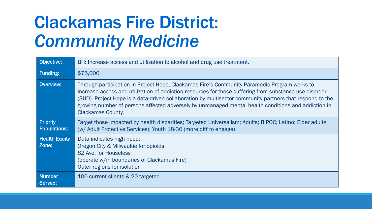## Clackamas Fire District: *Community Medicine*

| Objective:                             | BH: Increase access and utilization to alcohol and drug use treatment.                                                                                                                                                                                                                                                                                                                                                                                |
|----------------------------------------|-------------------------------------------------------------------------------------------------------------------------------------------------------------------------------------------------------------------------------------------------------------------------------------------------------------------------------------------------------------------------------------------------------------------------------------------------------|
| Funding:                               | \$75,000                                                                                                                                                                                                                                                                                                                                                                                                                                              |
| Overview:                              | Through participation in Project Hope, Clackamas Fire's Community Paramedic Program works to<br>increase access and utilization of addiction resources for those suffering from substance use disorder<br>(SUD). Project Hope is a data-driven collaboration by multisector community partners that respond to the<br>growing number of persons affected adversely by unmanaged mental health conditions and addiction in<br><b>Clackamas County.</b> |
| <b>Priority</b><br><b>Populations:</b> | Target those impacted by health disparities; Targeted Universalism; Adults; BIPOC; Latino; Elder adults<br>(w/ Adult Protective Services); Youth 18-30 (more diff to engage)                                                                                                                                                                                                                                                                          |
| <b>Health Equity</b><br>Zone:          | Data indicates high need:<br>Oregon City & Milwaukie for opioids<br>82 Ave. for Houseless<br>(operate w/in boundaries of Clackamas Fire)<br>Outer regions for isolation                                                                                                                                                                                                                                                                               |
| <b>Number</b><br>Served:               | 100 current clients & 20 targeted                                                                                                                                                                                                                                                                                                                                                                                                                     |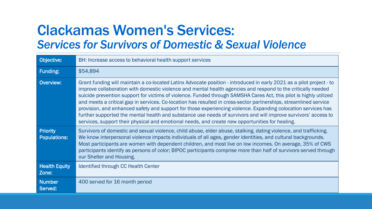#### Clackamas Women's Services: *Services for Survivors of Domestic & Sexual Violence*

| Objective:                             | BH: Increase access to behavioral health support services                                                                                                                                                                                                                                                                                                                                                                                                                                                                                                                                                                                                                                                                                                                                                            |
|----------------------------------------|----------------------------------------------------------------------------------------------------------------------------------------------------------------------------------------------------------------------------------------------------------------------------------------------------------------------------------------------------------------------------------------------------------------------------------------------------------------------------------------------------------------------------------------------------------------------------------------------------------------------------------------------------------------------------------------------------------------------------------------------------------------------------------------------------------------------|
| <b>Funding:</b>                        | \$54,894                                                                                                                                                                                                                                                                                                                                                                                                                                                                                                                                                                                                                                                                                                                                                                                                             |
| <b>Overview:</b>                       | Grant funding will maintain a co-located Latinx Advocate position - introduced in early 2021 as a pilot project - to<br>improve collaboration with domestic violence and mental health agencies and respond to the critically needed<br>suicide prevention support for victims of violence. Funded through SAMSHA Cares Act, this pilot is highly utilized<br>and meets a critical gap in services. Co-location has resulted in cross-sector partnerships, streamlined service<br>provision, and enhanced safety and support for those experiencing violence. Expanding colocation services has<br>further supported the mental health and substance use needs of survivors and will improve survivors' access to<br>services, support their physical and emotional needs, and create new opportunities for healing. |
| <b>Priority</b><br><b>Populations:</b> | Survivors of domestic and sexual violence, child abuse, elder abuse, stalking, dating violence, and trafficking.<br>We know interpersonal violence impacts individuals of all ages, gender identities, and cultural backgrounds.<br>Most participants are women with dependent children, and most live on low incomes. On average, 35% of CWS<br>participants identify as persons of color; BIPOC participants comprise more than half of survivors served through<br>our Shelter and Housing.                                                                                                                                                                                                                                                                                                                       |
| <b>Health Equity</b><br>Zone:          | Identified through CC Health Center                                                                                                                                                                                                                                                                                                                                                                                                                                                                                                                                                                                                                                                                                                                                                                                  |
| <b>Number</b><br>Served:               | 400 served for 16 month period                                                                                                                                                                                                                                                                                                                                                                                                                                                                                                                                                                                                                                                                                                                                                                                       |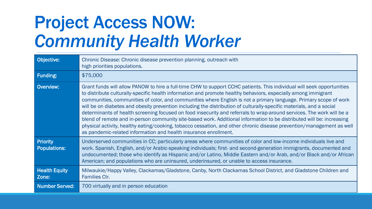## Project Access NOW: *Community Health Worker*

| Objective:                             | Chronic Disease: Chronic disease prevention planning, outreach with<br>high priorities populations.                                                                                                                                                                                                                                                                                                                                                                                                                                                                                                                                                                                                                                                                                                                                                                                                                                  |
|----------------------------------------|--------------------------------------------------------------------------------------------------------------------------------------------------------------------------------------------------------------------------------------------------------------------------------------------------------------------------------------------------------------------------------------------------------------------------------------------------------------------------------------------------------------------------------------------------------------------------------------------------------------------------------------------------------------------------------------------------------------------------------------------------------------------------------------------------------------------------------------------------------------------------------------------------------------------------------------|
| Funding:                               | \$75,000                                                                                                                                                                                                                                                                                                                                                                                                                                                                                                                                                                                                                                                                                                                                                                                                                                                                                                                             |
| <b>Overview:</b>                       | Grant funds will allow PANOW to hire a full-time CHW to support CCHC patients. This individual will seek opportunities<br>to distribute culturally-specific health information and promote healthy behaviors, especially among immigrant<br>communities, communities of color, and communities where English is not a primary language. Primary scope of work<br>will be on diabetes and obesity prevention including the distribution of culturally-specific materials, and a social<br>determinants of health screening focused on food insecurity and referrals to wrap-around services. The work will be a<br>blend of remote and in-person community site-based work. Additional information to be distributed will be: increasing<br>physical activity, healthy eating/cooking, tobacco cessation, and other chronic disease prevention/management as well<br>as pandemic-related information and health insurance enrollment. |
| <b>Priority</b><br><b>Populations:</b> | Underserved communities in CC; particularly areas where communities of color and low-income individuals live and<br>work. Spanish, English, and/or Arabic-speaking individuals; first- and second-generation immigrants, documented and<br>undocumented; those who identify as Hispanic and/or Latino, Middle Eastern and/or Arab, and/or Black and/or African<br>American; and populations who are uninsured, underinsured, or unable to access insurance.                                                                                                                                                                                                                                                                                                                                                                                                                                                                          |
| <b>Health Equity</b><br>Zone:          | Milwaukie/Happy Valley, Clackamas/Gladstone, Canby, North Clackamas School District, and Gladstone Children and<br><b>Families Ctr.</b>                                                                                                                                                                                                                                                                                                                                                                                                                                                                                                                                                                                                                                                                                                                                                                                              |
| <b>Number Served:</b>                  | 700 virtually and in person education                                                                                                                                                                                                                                                                                                                                                                                                                                                                                                                                                                                                                                                                                                                                                                                                                                                                                                |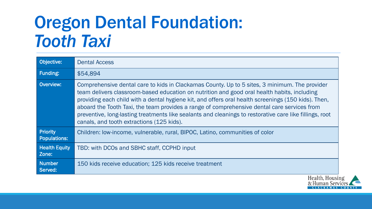#### Oregon Dental Foundation: *Tooth Taxi*

| Objective:                             | <b>Dental Access</b>                                                                                                                                                                                                                                                                                                                                                                                                                                                                                                                                       |
|----------------------------------------|------------------------------------------------------------------------------------------------------------------------------------------------------------------------------------------------------------------------------------------------------------------------------------------------------------------------------------------------------------------------------------------------------------------------------------------------------------------------------------------------------------------------------------------------------------|
| Funding:                               | \$54,894                                                                                                                                                                                                                                                                                                                                                                                                                                                                                                                                                   |
| Overview:                              | Comprehensive dental care to kids in Clackamas County. Up to 5 sites, 3 minimum. The provider<br>team delivers classroom-based education on nutrition and good oral health habits, including<br>providing each child with a dental hygiene kit, and offers oral health screenings (150 kids). Then,<br>aboard the Tooth Taxi, the team provides a range of comprehensive dental care services from<br>preventive, long-lasting treatments like sealants and cleanings to restorative care like fillings, root<br>canals, and tooth extractions (125 kids). |
| <b>Priority</b><br><b>Populations:</b> | Children: Iow-income, vulnerable, rural, BIPOC, Latino, communities of color                                                                                                                                                                                                                                                                                                                                                                                                                                                                               |
| <b>Health Equity</b><br>Zone:          | TBD: with DCOs and SBHC staff, CCPHD input                                                                                                                                                                                                                                                                                                                                                                                                                                                                                                                 |
| <b>Number</b><br>Served:               | 150 kids receive education; 125 kids receive treatment                                                                                                                                                                                                                                                                                                                                                                                                                                                                                                     |

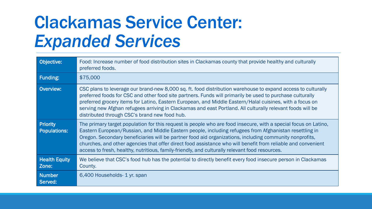#### Clackamas Service Center: *Expanded Services*

| Objective:                             | Food: Increase number of food distribution sites in Clackamas county that provide healthy and culturally<br>preferred foods.                                                                                                                                                                                                                                                                                                                                                                                                                           |
|----------------------------------------|--------------------------------------------------------------------------------------------------------------------------------------------------------------------------------------------------------------------------------------------------------------------------------------------------------------------------------------------------------------------------------------------------------------------------------------------------------------------------------------------------------------------------------------------------------|
| <b>Funding:</b>                        | \$75,000                                                                                                                                                                                                                                                                                                                                                                                                                                                                                                                                               |
| Overview:                              | CSC plans to leverage our brand-new 8,000 sq. ft. food distribution warehouse to expand access to culturally<br>preferred foods for CSC and other food site partners. Funds will primarily be used to purchase culturally<br>preferred grocery items for Latino, Eastern European, and Middle Eastern/Halal cuisines, with a focus on<br>serving new Afghan refugees arriving in Clackamas and east Portland. All culturally relevant foods will be<br>distributed through CSC's brand new food hub.                                                   |
| <b>Priority</b><br><b>Populations:</b> | The primary target population for this request is people who are food insecure, with a special focus on Latino,<br>Eastern European/Russian, and Middle Eastern people, including refugees from Afghanistan resettling in<br>Oregon. Secondary beneficiaries will be partner food aid organizations, including community nonprofits,<br>churches, and other agencies that offer direct food assistance who will benefit from reliable and convenient<br>access to fresh, healthy, nutritious, family-friendly, and culturally relevant food resources. |
| <b>Health Equity</b><br>Zone:          | We believe that CSC's food hub has the potential to directly benefit every food insecure person in Clackamas<br>County.                                                                                                                                                                                                                                                                                                                                                                                                                                |
| <b>Number</b><br>Served:               | 6,400 Households- 1 yr. span                                                                                                                                                                                                                                                                                                                                                                                                                                                                                                                           |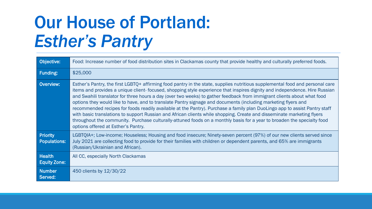### Our House of Portland: *Esther's Pantry*

| Objective:                             | Food: Increase number of food distribution sites in Clackamas county that provide healthy and culturally preferred foods.                                                                                                                                                                                                                                                                                                                                                                                                                                                                                                                                                                                                                                                                                                                                                                                                          |
|----------------------------------------|------------------------------------------------------------------------------------------------------------------------------------------------------------------------------------------------------------------------------------------------------------------------------------------------------------------------------------------------------------------------------------------------------------------------------------------------------------------------------------------------------------------------------------------------------------------------------------------------------------------------------------------------------------------------------------------------------------------------------------------------------------------------------------------------------------------------------------------------------------------------------------------------------------------------------------|
| Funding:                               | \$25,000                                                                                                                                                                                                                                                                                                                                                                                                                                                                                                                                                                                                                                                                                                                                                                                                                                                                                                                           |
| Overview:                              | Esther's Pantry, the first LGBTQ+ affirming food pantry in the state, supplies nutritious supplemental food and personal care<br>items and provides a unique client-focused, shopping style experience that inspires dignity and independence. Hire Russian<br>and Swahili translator for three hours a day (over two weeks) to gather feedback from immigrant clients about what food<br>options they would like to have, and to translate Pantry signage and documents (including marketing flyers and<br>recommended recipes for foods readily available at the Pantry). Purchase a family plan DuoLingo app to assist Pantry staff<br>with basic translations to support Russian and African clients while shopping. Create and disseminate marketing flyers<br>throughout the community. Purchase culturally-attuned foods on a monthly basis for a year to broaden the specialty food<br>options offered at Esther's Pantry. |
| <b>Priority</b><br><b>Populations:</b> | LGBTQIA+; Low-income; Houseless; Housing and food insecure; Ninety-seven percent (97%) of our new clients served since<br>July 2021 are collecting food to provide for their families with children or dependent parents, and 65% are immigrants<br>(Russian/Ukrainian and African).                                                                                                                                                                                                                                                                                                                                                                                                                                                                                                                                                                                                                                               |
| <b>Health</b><br><b>Equity Zone:</b>   | All CC, especially North Clackamas                                                                                                                                                                                                                                                                                                                                                                                                                                                                                                                                                                                                                                                                                                                                                                                                                                                                                                 |
| <b>Number</b><br>Served:               | 450 clients by 12/30/22                                                                                                                                                                                                                                                                                                                                                                                                                                                                                                                                                                                                                                                                                                                                                                                                                                                                                                            |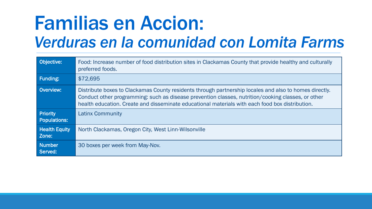# Familias en Accion:

#### *Verduras en la comunidad con Lomita Farms*

| Objective:                             | Food: Increase number of food distribution sites in Clackamas County that provide healthy and culturally<br>preferred foods.                                                                                                                                                                                    |
|----------------------------------------|-----------------------------------------------------------------------------------------------------------------------------------------------------------------------------------------------------------------------------------------------------------------------------------------------------------------|
| <b>Funding:</b>                        | \$72,695                                                                                                                                                                                                                                                                                                        |
| <b>Overview:</b>                       | Distribute boxes to Clackamas County residents through partnership locales and also to homes directly.<br>Conduct other programming: such as disease prevention classes, nutrition/cooking classes, or other<br>health education. Create and disseminate educational materials with each food box distribution. |
| <b>Priority</b><br><b>Populations:</b> | <b>Latinx Community</b>                                                                                                                                                                                                                                                                                         |
| <b>Health Equity</b><br>Zone:          | North Clackamas, Oregon City, West Linn-Wilsonville                                                                                                                                                                                                                                                             |
| Number<br>Served:                      | 30 boxes per week from May-Nov.                                                                                                                                                                                                                                                                                 |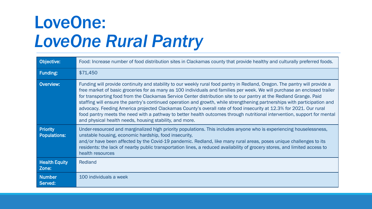## LoveOne: *LoveOne Rural Pantry*

| Objective:                             | Food: Increase number of food distribution sites in Clackamas county that provide healthy and culturally preferred foods.                                                                                                                                                                                                                                                                                                                                                                                                                                                                                                                                                                                                                                                                                                  |
|----------------------------------------|----------------------------------------------------------------------------------------------------------------------------------------------------------------------------------------------------------------------------------------------------------------------------------------------------------------------------------------------------------------------------------------------------------------------------------------------------------------------------------------------------------------------------------------------------------------------------------------------------------------------------------------------------------------------------------------------------------------------------------------------------------------------------------------------------------------------------|
| <b>Funding:</b>                        | \$71,450                                                                                                                                                                                                                                                                                                                                                                                                                                                                                                                                                                                                                                                                                                                                                                                                                   |
| <b>Overview:</b>                       | Funding will provide continuity and stability to our weekly rural food pantry in Redland, Oregon. The pantry will provide a<br>free market of basic groceries for as many as 100 individuals and families per week. We will purchase an enclosed trailer<br>for transporting food from the Clackamas Service Center distribution site to our pantry at the Redland Grange. Paid<br>staffing will ensure the pantry's continued operation and growth, while strengthening partnerships with participation and<br>advocacy. Feeding America projected Clackamas County's overall rate of food insecurity at 12.3% for 2021. Our rural<br>food pantry meets the need with a pathway to better health outcomes through nutritional intervention, support for mental<br>and physical health needs, housing stability, and more. |
| <b>Priority</b><br><b>Populations:</b> | Under-resourced and marginalized high priority populations. This includes anyone who is experiencing houselessness,<br>unstable housing, economic hardship, food insecurity,<br>and/or have been affected by the Covid-19 pandemic. Redland, like many rural areas, poses unique challenges to its<br>residents: the lack of nearby public transportation lines, a reduced availability of grocery stores, and limited access to<br>health resources                                                                                                                                                                                                                                                                                                                                                                       |
| <b>Health Equity</b><br>Zone:          | Redland                                                                                                                                                                                                                                                                                                                                                                                                                                                                                                                                                                                                                                                                                                                                                                                                                    |
| <b>Number</b><br>Served:               | 100 individuals a week                                                                                                                                                                                                                                                                                                                                                                                                                                                                                                                                                                                                                                                                                                                                                                                                     |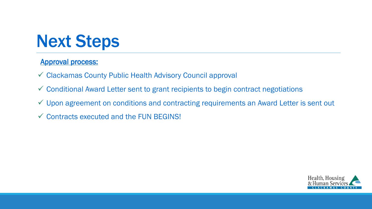#### Next Steps

#### Approval process:

- Clackamas County Public Health Advisory Council approval
- Conditional Award Letter sent to grant recipients to begin contract negotiations
- Upon agreement on conditions and contracting requirements an Award Letter is sent out
- $\checkmark$  Contracts executed and the FUN BEGINS!

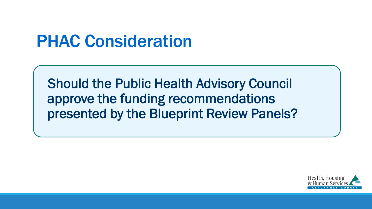#### PHAC Consideration

Should the Public Health Advisory Council approve the funding recommendations presented by the Blueprint Review Panels?